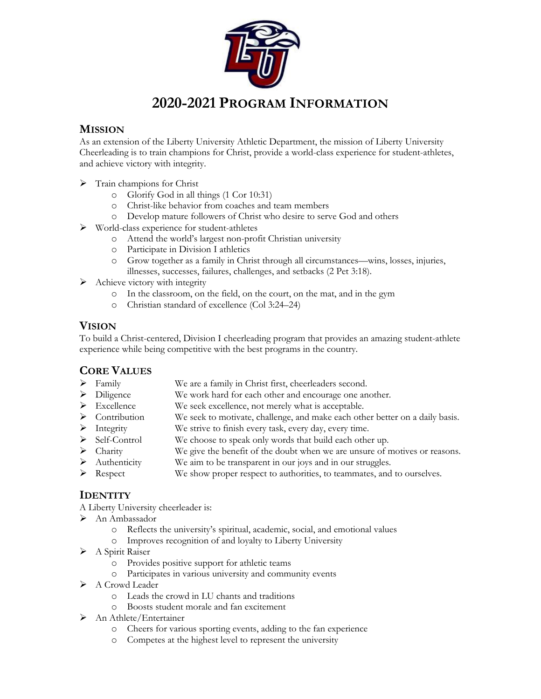

#### **MISSION**

As an extension of the Liberty University Athletic Department, the mission of Liberty University Cheerleading is to train champions for Christ, provide a world-class experience for student-athletes, and achieve victory with integrity.

- $\triangleright$  Train champions for Christ
	- o Glorify God in all things (1 Cor 10:31)
	- o Christ-like behavior from coaches and team members
	- o Develop mature followers of Christ who desire to serve God and others
- Ø World-class experience for student-athletes
	- o Attend the world's largest non-profit Christian university
	- o Participate in Division I athletics
	- o Grow together as a family in Christ through all circumstances—wins, losses, injuries, illnesses, successes, failures, challenges, and setbacks (2 Pet 3:18).
- $\triangleright$  Achieve victory with integrity
	- o In the classroom, on the field, on the court, on the mat, and in the gym
	- o Christian standard of excellence (Col 3:24–24)

#### **VISION**

To build a Christ-centered, Division I cheerleading program that provides an amazing student-athlete experience while being competitive with the best programs in the country.

# **CORE VALUES**

- Ø Family We are a family in Christ first, cheerleaders second.
- Ø Diligence We work hard for each other and encourage one another.
- $\triangleright$  Excellence We seek excellence, not merely what is acceptable.
- Ø Contribution We seek to motivate, challenge, and make each other better on a daily basis.
- Ø Integrity We strive to finish every task, every day, every time.
- $\triangleright$  Self-Control We choose to speak only words that build each other up.
- Ø Charity We give the benefit of the doubt when we are unsure of motives or reasons.
- Ø Authenticity We aim to be transparent in our joys and in our struggles.
- $\triangleright$  Respect We show proper respect to authorities, to teammates, and to ourselves.

#### **IDENTITY**

A Liberty University cheerleader is:

- Ø An Ambassador
	- o Reflects the university's spiritual, academic, social, and emotional values
	- o Improves recognition of and loyalty to Liberty University
- $\triangleright$  A Spirit Raiser
	- o Provides positive support for athletic teams
	- o Participates in various university and community events
- $\triangleright$  A Crowd Leader
	- o Leads the crowd in LU chants and traditions
	- o Boosts student morale and fan excitement
- $\triangleright$  An Athlete/Entertainer
	- o Cheers for various sporting events, adding to the fan experience
	- o Competes at the highest level to represent the university